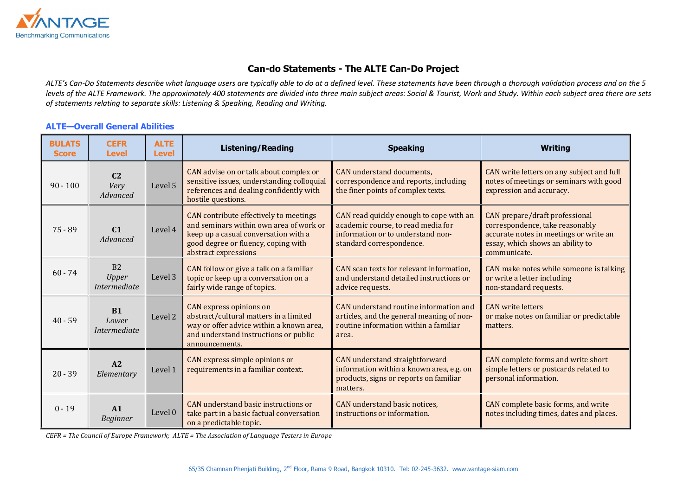

## Can-do Statements - The ALTE Can-Do Project

*ALTE's Can-Do Statements describe what language users are typically able to do at a defined level. These statements have been through a thorough validation process and on the 5 levels of the ALTE Framework. The approximately 400 statements are divided into three main subject areas: Social & Tourist, Work and Study. Within each subject area there are sets of statements relating to separate skills: Listening & Speaking, Reading and Writing.* 

## ALTE—Overall General Abilities

| <b>BULATS</b><br><b>Score</b> | <b>CEFR</b><br><b>Level</b>               | <b>ALTE</b><br><b>Level</b> | <b>Listening/Reading</b>                                                                                                                                                                 | <b>Speaking</b>                                                                                                                                | <b>Writing</b>                                                                                                                                                  |
|-------------------------------|-------------------------------------------|-----------------------------|------------------------------------------------------------------------------------------------------------------------------------------------------------------------------------------|------------------------------------------------------------------------------------------------------------------------------------------------|-----------------------------------------------------------------------------------------------------------------------------------------------------------------|
| $90 - 100$                    | C <sub>2</sub><br>Very<br>Advanced        | Level 5                     | CAN advise on or talk about complex or<br>sensitive issues, understanding colloquial<br>references and dealing confidently with<br>hostile questions.                                    | CAN understand documents,<br>correspondence and reports, including<br>the finer points of complex texts.                                       | CAN write letters on any subject and full<br>notes of meetings or seminars with good<br>expression and accuracy.                                                |
| $75 - 89$                     | C <sub>1</sub><br>Advanced                | Level 4                     | CAN contribute effectively to meetings<br>and seminars within own area of work or<br>keep up a casual conversation with a<br>good degree or fluency, coping with<br>abstract expressions | CAN read quickly enough to cope with an<br>academic course, to read media for<br>information or to understand non-<br>standard correspondence. | CAN prepare/draft professional<br>correspondence, take reasonably<br>accurate notes in meetings or write an<br>essay, which shows an ability to<br>communicate. |
| $60 - 74$                     | B2<br><b>Upper</b><br><i>Intermediate</i> | Level 3                     | CAN follow or give a talk on a familiar<br>topic or keep up a conversation on a<br>fairly wide range of topics.                                                                          | CAN scan texts for relevant information,<br>and understand detailed instructions or<br>advice requests.                                        | CAN make notes while someone is talking<br>or write a letter including<br>non-standard requests.                                                                |
| $40 - 59$                     | <b>B1</b><br>Lower<br>Intermediate        | Level 2                     | <b>CAN</b> express opinions on<br>abstract/cultural matters in a limited<br>way or offer advice within a known area,<br>and understand instructions or public<br>announcements.          | CAN understand routine information and<br>articles, and the general meaning of non-<br>routine information within a familiar<br>area.          | <b>CAN</b> write letters<br>or make notes on familiar or predictable<br>matters.                                                                                |
| $20 - 39$                     | A2<br>Elementary                          | Level 1                     | CAN express simple opinions or<br>requirements in a familiar context.                                                                                                                    | <b>CAN</b> understand straightforward<br>information within a known area, e.g. on<br>products, signs or reports on familiar<br>matters.        | CAN complete forms and write short<br>simple letters or postcards related to<br>personal information.                                                           |
| $0 - 19$                      | A1<br><b>Beginner</b>                     | Level 0                     | CAN understand basic instructions or<br>take part in a basic factual conversation<br>on a predictable topic.                                                                             | CAN understand basic notices,<br>instructions or information.                                                                                  | CAN complete basic forms, and write<br>notes including times, dates and places.                                                                                 |

*CEFR = The Council of Europe Framework; ALTE = The Association of Language Testers in Europe*